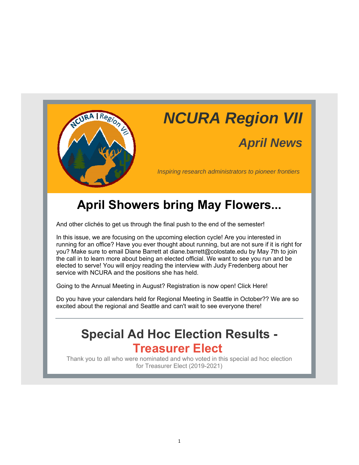

## *NCURA Region VII*

### *April News*

*Inspiring research administrators to pioneer frontiers*

### **April Showers bring May Flowers...**

And other clichés to get us through the final push to the end of the semester!

In this issue, we are focusing on the upcoming election cycle! Are you interested in running for an office? Have you ever thought about running, but are not sure if it is right for you? Make sure to email Diane Barrett at diane.barrett@colostate.edu by May 7th to join the call in to learn more about being an elected official. We want to see you run and be elected to serve! You will enjoy reading the interview with Judy Fredenberg about her service with NCURA and the positions she has held.

Going to the Annual Meeting in August? Registration is now open! Click Here!

Do you have your calendars held for Regional Meeting in Seattle in October?? We are so excited about the regional and Seattle and can't wait to see everyone there!

### **Special Ad Hoc Election Results - Treasurer Elect**

Thank you to all who were nominated and who voted in this special ad hoc election for Treasurer Elect (2019-2021)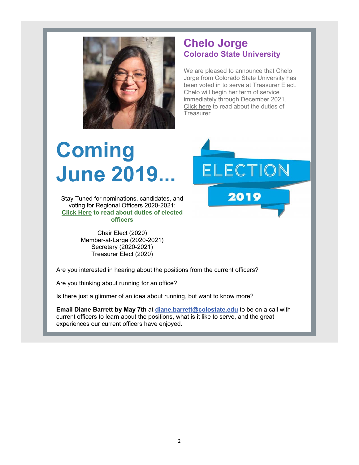

#### **Chelo Jorge Colorado State University**

We are pleased to announce that Chelo Jorge from Colorado State University has been voted in to serve at Treasurer Elect. Chelo will begin her term of service immediately through December 2021. Click here to read about the duties of Treasurer.

# **Coming June 2019...**

Stay Tuned for nominations, candidates, and voting for Regional Officers 2020-2021: **Click Here to read about duties of elected officers**

> Chair Elect (2020) Member-at-Large (2020-2021) Secretary (2020-2021) Treasurer Elect (2020)

Are you interested in hearing about the positions from the current officers?

Are you thinking about running for an office?

Is there just a glimmer of an idea about running, but want to know more?

**Email Diane Barrett by May 7th** at **diane.barrett@colostate.edu** to be on a call with current officers to learn about the positions, what is it like to serve, and the great experiences our current officers have enjoyed.

ELECTION 2019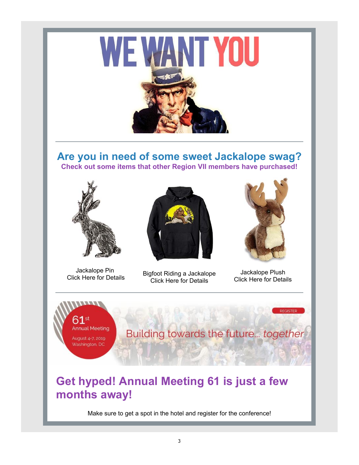

#### **Are you in need of some sweet Jackalope swag? Check out some items that other Region VII members have purchased!**



Jackalope Pin



Jackalope Fill<br>Click Here for Details Bigfoot Riding a Jackalope Click Here for Details



Jackalope Plush Click Here for Details

**REGISTER** 

**Annual Meeting** August 4-7, 2019 Washington, DC

Building towards the future... together

### **Get hyped! Annual Meeting 61 is just a few months away!**

Make sure to get a spot in the hotel and register for the conference!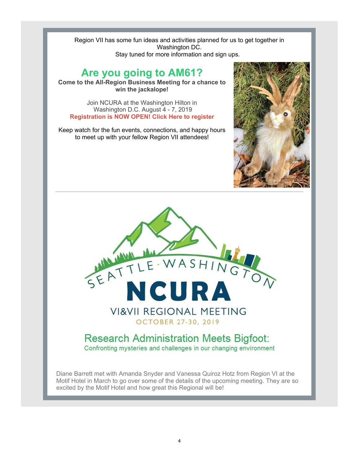Region VII has some fun ideas and activities planned for us to get together in Washington DC. Stay tuned for more information and sign ups.

### **Are you going to AM61?**

**Come to the All-Region Business Meeting for a chance to win the jackalope!**

Join NCURA at the Washington Hilton in Washington D.C. August 4 - 7, 2019 **Registration is NOW OPEN! Click Here to register**

Keep watch for the fun events, connections, and happy hours to meet up with your fellow Region VII attendees!



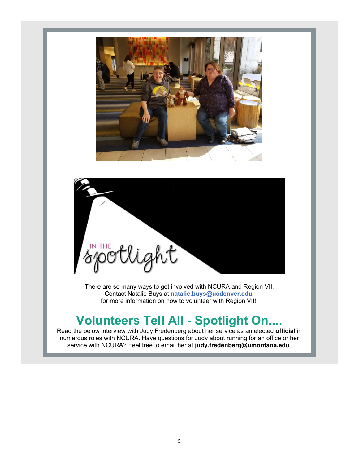



There are so many ways to get involved with NCURA and Region VII. Contact Natalie Buys at **natalie.buys@ucdenver.edu** for more information on how to volunteer with Region VII!

### **Volunteers Tell All - Spotlight On....**

Read the below interview with Judy Fredenberg about her service as an elected **official** in numerous roles with NCURA. Have questions for Judy about running for an office or her service with NCURA? Feel free to email her at **judy.fredenberg@umontana.edu**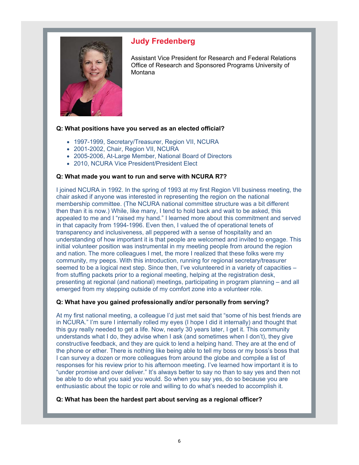

#### **Judy Fredenberg**

Assistant Vice President for Research and Federal Relations Office of Research and Sponsored Programs University of Montana

#### **Q: What positions have you served as an elected official?**

- 1997-1999, Secretary/Treasurer, Region VII, NCURA
- 2001-2002, Chair, Region VII, NCURA
- 2005-2006, At-Large Member, National Board of Directors
- 2010, NCURA Vice President/President Elect

#### **Q: What made you want to run and serve with NCURA R7?**

I joined NCURA in 1992. In the spring of 1993 at my first Region VII business meeting, the chair asked if anyone was interested in representing the region on the national membership committee. (The NCURA national committee structure was a bit different then than it is now.) While, like many, I tend to hold back and wait to be asked, this appealed to me and I "raised my hand." I learned more about this commitment and served in that capacity from 1994-1996. Even then, I valued the of operational tenets of transparency and inclusiveness, all peppered with a sense of hospitality and an understanding of how important it is that people are welcomed and invited to engage. This initial volunteer position was instrumental in my meeting people from around the region and nation. The more colleagues I met, the more I realized that these folks were my community, my peeps. With this introduction, running for regional secretary/treasurer seemed to be a logical next step. Since then, I've volunteered in a variety of capacities – from stuffing packets prior to a regional meeting, helping at the registration desk, presenting at regional (and national) meetings, participating in program planning – and all emerged from my stepping outside of my comfort zone into a volunteer role.

#### **Q: What have you gained professionally and/or personally from serving?**

At my first national meeting, a colleague I'd just met said that "some of his best friends are in NCURA." I'm sure I internally rolled my eyes (I hope I did it internally) and thought that this guy really needed to get a life. Now, nearly 30 years later, I get it. This community understands what I do, they advise when I ask (and sometimes when I don't), they give constructive feedback, and they are quick to lend a helping hand. They are at the end of the phone or ether. There is nothing like being able to tell my boss or my boss's boss that I can survey a dozen or more colleagues from around the globe and compile a list of responses for his review prior to his afternoon meeting. I've learned how important it is to "under promise and over deliver." It's always better to say no than to say yes and then not be able to do what you said you would. So when you say yes, do so because you are enthusiastic about the topic or role and willing to do what's needed to accomplish it.

#### **Q: What has been the hardest part about serving as a regional officer?**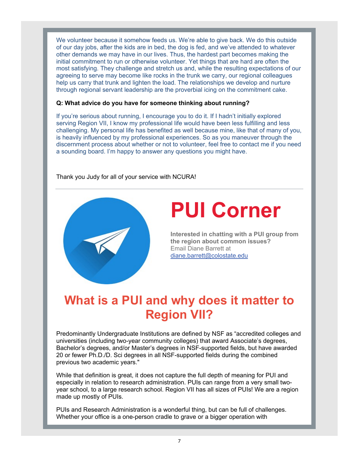We volunteer because it somehow feeds us. We're able to give back. We do this outside of our day jobs, after the kids are in bed, the dog is fed, and we've attended to whatever other demands we may have in our lives. Thus, the hardest part becomes making the initial commitment to run or otherwise volunteer. Yet things that are hard are often the most satisfying. They challenge and stretch us and, while the resulting expectations of our agreeing to serve may become like rocks in the trunk we carry, our regional colleagues help us carry that trunk and lighten the load. The relationships we develop and nurture through regional servant leadership are the proverbial icing on the commitment cake.

#### **Q: What advice do you have for someone thinking about running?**

If you're serious about running, I encourage you to do it. If I hadn't initially explored serving Region VII, I know my professional life would have been less fulfilling and less challenging. My personal life has benefited as well because mine, like that of many of you, is heavily influenced by my professional experiences. So as you maneuver through the discernment process about whether or not to volunteer, feel free to contact me if you need a sounding board. I'm happy to answer any questions you might have.

Thank you Judy for all of your service with NCURA!



## **PUI Corner**

**Interested in chatting with a PUI group from the region about common issues?** Email Diane Barrett at diane.barrett@colostate.edu

### **What is a PUI and why does it matter to Region VII?**

Predominantly Undergraduate Institutions are defined by NSF as "accredited colleges and universities (including two-year community colleges) that award Associate's degrees, Bachelor's degrees, and/or Master's degrees in NSF-supported fields, but have awarded 20 or fewer Ph.D./D. Sci degrees in all NSF-supported fields during the combined previous two academic years."

While that definition is great, it does not capture the full depth of meaning for PUI and especially in relation to research administration. PUIs can range from a very small twoyear school, to a large research school. Region VII has all sizes of PUIs! We are a region made up mostly of PUIs.

PUIs and Research Administration is a wonderful thing, but can be full of challenges. Whether your office is a one-person cradle to grave or a bigger operation with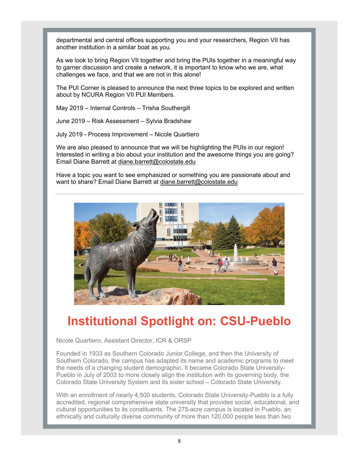departmental and central offices supporting you and your researchers, Region VII has another institution in a similar boat as you.

As we look to bring Region VII together and bring the PUIs together in a meaningful way to garner discussion and create a network, it is important to know who we are, what challenges we face, and that we are not in this alone!

The PUI Corner is pleased to announce the next three topics to be explored and written about by NCURA Region VII PUI Members.

May 2019 – Internal Controls – Trisha Southergill

June 2019 – Risk Assessment – Sylvia Bradshaw

July 2019 - Process Improvement – Nicole Quartiero

We are also pleased to announce that we will be highlighting the PUIs in our region! Interested in writing a bio about your institution and the awesome things you are going? Email Diane Barrett at diane.barrett@colostate.edu

Have a topic you want to see emphasized or something you are passionate about and want to share? Email Diane Barrett at diane.barrett@colostate.edu



### **Institutional Spotlight on: CSU-Pueblo**

Nicole Quartiero, Assistant Director, ICR & ORSP

Founded in 1933 as Southern Colorado Junior College, and then the University of Southern Colorado, the campus has adapted its name and academic programs to meet the needs of a changing student demographic. It became Colorado State University-Pueblo in July of 2003 to more closely align the institution with its governing body, the Colorado State University System and its sister school – Colorado State University.

With an enrollment of nearly 4,500 students, Colorado State University-Pueblo is a fully accredited, regional comprehensive state university that provides social, educational, and cultural opportunities to its constituents. The 275-acre campus is located in Pueblo, an ethnically and culturally diverse community of more than 120,000 people less than two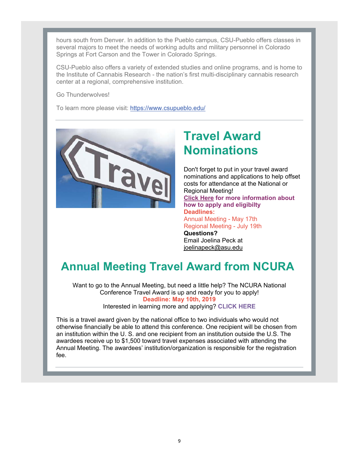hours south from Denver. In addition to the Pueblo campus, CSU-Pueblo offers classes in several majors to meet the needs of working adults and military personnel in Colorado Springs at Fort Carson and the Tower in Colorado Springs.

CSU-Pueblo also offers a variety of extended studies and online programs, and is home to the Institute of Cannabis Research - the nation's first multi-disciplinary cannabis research center at a regional, comprehensive institution.

Go Thunderwolves!

To learn more please visit: https://www.csupueblo.edu/



### **Travel Award Nominations**

Don't forget to put in your travel award nominations and applications to help offset costs for attendance at the National or Regional Meeting! **Click Here for more information about how to apply and eligibilty Deadlines:** Annual Meeting - May 17th Regional Meeting - July 19th **Questions?** Email Joelina Peck at joelinapeck@asu.edu

### **Annual Meeting Travel Award from NCURA**

Want to go to the Annual Meeting, but need a little help? The NCURA National Conference Travel Award is up and ready for you to apply! **Deadline: May 10th, 2019**

Interested in learning more and applying? **CLICK HERE**

This is a travel award given by the national office to two individuals who would not otherwise financially be able to attend this conference. One recipient will be chosen from an institution within the U. S. and one recipient from an institution outside the U.S. The awardees receive up to \$1,500 toward travel expenses associated with attending the Annual Meeting. The awardees' institution/organization is responsible for the registration fee.